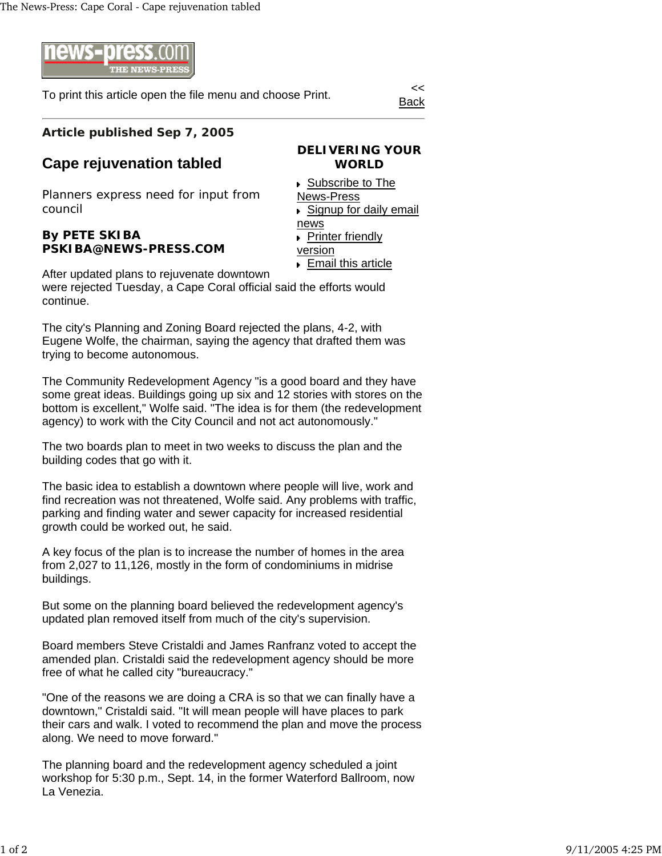

To print this article open the file menu and choose Print.

Back

## **Article published Sep 7, 2005**

## **Cape rejuvenation tabled**

Planners express need for input from council

## **By PETE SKIBA PSKIBA@NEWS-PRESS.COM**

**WORLD** ▶ Subscribe to The News-Press Signup for daily email news

**DELIVERING YOUR** 

**Printer friendly** version Email this article

After updated plans to rejuvenate downtown were rejected Tuesday, a Cape Coral official said the efforts would continue.

The city's Planning and Zoning Board rejected the plans, 4-2, with Eugene Wolfe, the chairman, saying the agency that drafted them was trying to become autonomous.

The Community Redevelopment Agency "is a good board and they have some great ideas. Buildings going up six and 12 stories with stores on the bottom is excellent," Wolfe said. "The idea is for them (the redevelopment agency) to work with the City Council and not act autonomously."

The two boards plan to meet in two weeks to discuss the plan and the building codes that go with it.

The basic idea to establish a downtown where people will live, work and find recreation was not threatened, Wolfe said. Any problems with traffic, parking and finding water and sewer capacity for increased residential growth could be worked out, he said.

A key focus of the plan is to increase the number of homes in the area from 2,027 to 11,126, mostly in the form of condominiums in midrise buildings.

But some on the planning board believed the redevelopment agency's updated plan removed itself from much of the city's supervision.

Board members Steve Cristaldi and James Ranfranz voted to accept the amended plan. Cristaldi said the redevelopment agency should be more free of what he called city "bureaucracy."

"One of the reasons we are doing a CRA is so that we can finally have a downtown," Cristaldi said. "It will mean people will have places to park their cars and walk. I voted to recommend the plan and move the process along. We need to move forward."

The planning board and the redevelopment agency scheduled a joint workshop for 5:30 p.m., Sept. 14, in the former Waterford Ballroom, now La Venezia.